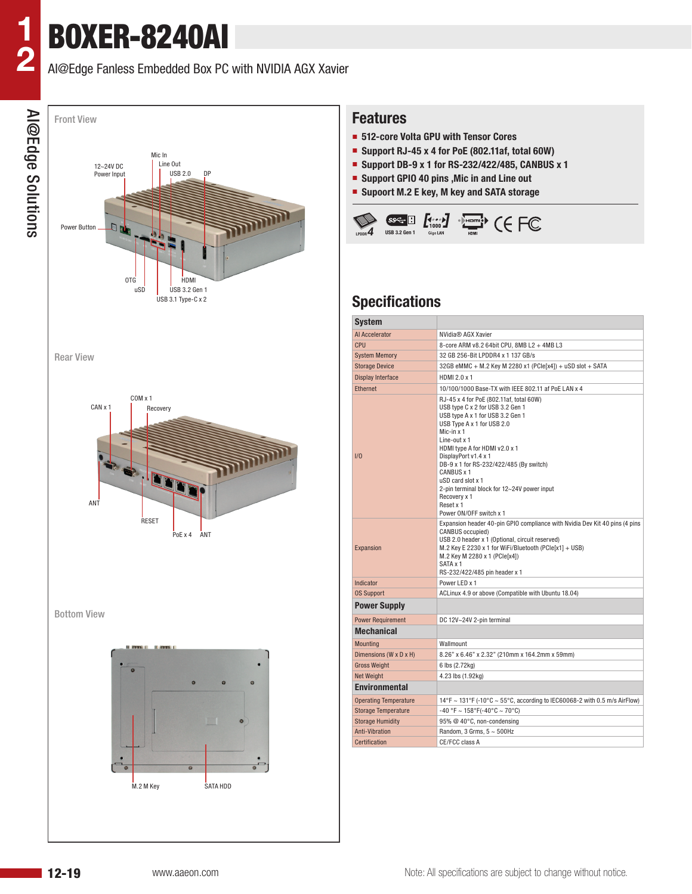## AI@Edge Fanless Embedded Box PC with NVIDIA AGX Xavier



#### **Features**

- **512-core Volta GPU with Tensor Cores**
- **Support RJ-45 x 4 for PoE (802.11af, total 60W)**
- **Support DB-9 x 1 for RS-232/422/485, CANBUS x 1**
- **Support GPIO 40 pins , Mic in and Line out**
- **Supoort M.2 E key, M key and SATA storage**



## **Specifications**

| <b>System</b>                |                                                                                                                                                                                                                                                                                                                                                                                                                           |  |  |  |  |  |  |  |
|------------------------------|---------------------------------------------------------------------------------------------------------------------------------------------------------------------------------------------------------------------------------------------------------------------------------------------------------------------------------------------------------------------------------------------------------------------------|--|--|--|--|--|--|--|
| Al Accelerator               | NVidia® AGX Xavier                                                                                                                                                                                                                                                                                                                                                                                                        |  |  |  |  |  |  |  |
| CPU                          | 8-core ARM v8.2 64bit CPU, 8MB L2 + 4MB L3                                                                                                                                                                                                                                                                                                                                                                                |  |  |  |  |  |  |  |
| <b>System Memory</b>         | 32 GB 256-Bit LPDDR4 x 1 137 GB/s                                                                                                                                                                                                                                                                                                                                                                                         |  |  |  |  |  |  |  |
| <b>Storage Device</b>        | 32GB eMMC + M.2 Key M 2280 x1 (PCle[x4]) + uSD slot + SATA                                                                                                                                                                                                                                                                                                                                                                |  |  |  |  |  |  |  |
| <b>Display Interface</b>     | HDMI 2.0 x 1                                                                                                                                                                                                                                                                                                                                                                                                              |  |  |  |  |  |  |  |
| <b>Ethernet</b>              | 10/100/1000 Base-TX with IEEE 802.11 af PoE LAN x 4                                                                                                                                                                                                                                                                                                                                                                       |  |  |  |  |  |  |  |
| 1/0                          | RJ-45 x 4 for PoE (802.11af, total 60W)<br>USB type C x 2 for USB 3.2 Gen 1<br>USB type A x 1 for USB 3.2 Gen 1<br>USB Type A x 1 for USB 2.0<br>Mic-in x 1<br>Line-out x 1<br>HDMI type A for HDMI y2.0 x 1<br>DisplayPort v1.4 x 1<br>DB-9 x 1 for RS-232/422/485 (By switch)<br>CANBUS x 1<br>uSD card slot x 1<br>2-pin terminal block for 12~24V power input<br>Recovery x 1<br>Reset x 1<br>Power ON/OFF switch x 1 |  |  |  |  |  |  |  |
| Expansion                    | Expansion header 40-pin GPIO compliance with Nvidia Dev Kit 40 pins (4 pins<br><b>CANBUS occupied)</b><br>USB 2.0 header x 1 (Optional, circuit reserved)<br>M.2 Key E 2230 x 1 for WiFi/Bluetooth (PCle[x1] + USB)<br>M.2 Key M 2280 x 1 (PCle[x4])<br>SATA x 1<br>RS-232/422/485 pin header x 1                                                                                                                         |  |  |  |  |  |  |  |
| Indicator                    | Power LED x 1                                                                                                                                                                                                                                                                                                                                                                                                             |  |  |  |  |  |  |  |
| <b>0S Support</b>            | ACLinux 4.9 or above (Compatible with Ubuntu 18.04)                                                                                                                                                                                                                                                                                                                                                                       |  |  |  |  |  |  |  |
| <b>Power Supply</b>          |                                                                                                                                                                                                                                                                                                                                                                                                                           |  |  |  |  |  |  |  |
| <b>Power Requirement</b>     | DC 12V~24V 2-pin terminal                                                                                                                                                                                                                                                                                                                                                                                                 |  |  |  |  |  |  |  |
| <b>Mechanical</b>            |                                                                                                                                                                                                                                                                                                                                                                                                                           |  |  |  |  |  |  |  |
| <b>Mounting</b>              | Wallmount                                                                                                                                                                                                                                                                                                                                                                                                                 |  |  |  |  |  |  |  |
| Dimensions (W x D x H)       | 8.26" x 6.46" x 2.32" (210mm x 164.2mm x 59mm)                                                                                                                                                                                                                                                                                                                                                                            |  |  |  |  |  |  |  |
| <b>Gross Weight</b>          | 6 lbs (2.72kg)                                                                                                                                                                                                                                                                                                                                                                                                            |  |  |  |  |  |  |  |
| <b>Net Weight</b>            | 4.23 lbs (1.92kg)                                                                                                                                                                                                                                                                                                                                                                                                         |  |  |  |  |  |  |  |
| <b>Environmental</b>         |                                                                                                                                                                                                                                                                                                                                                                                                                           |  |  |  |  |  |  |  |
| <b>Operating Temperature</b> | 14°F ~ 131°F (-10°C ~ 55°C, according to IEC60068-2 with 0.5 m/s AirFlow)                                                                                                                                                                                                                                                                                                                                                 |  |  |  |  |  |  |  |
| <b>Storage Temperature</b>   | -40 °F ~ 158°F(-40°C ~ 70°C)                                                                                                                                                                                                                                                                                                                                                                                              |  |  |  |  |  |  |  |
| <b>Storage Humidity</b>      | 95% @ 40°C, non-condensing                                                                                                                                                                                                                                                                                                                                                                                                |  |  |  |  |  |  |  |
| <b>Anti-Vibration</b>        | Random, 3 Grms, 5 ~ 500Hz                                                                                                                                                                                                                                                                                                                                                                                                 |  |  |  |  |  |  |  |
| Certification                | CE/FCC class A                                                                                                                                                                                                                                                                                                                                                                                                            |  |  |  |  |  |  |  |
|                              |                                                                                                                                                                                                                                                                                                                                                                                                                           |  |  |  |  |  |  |  |

**1**

**2**